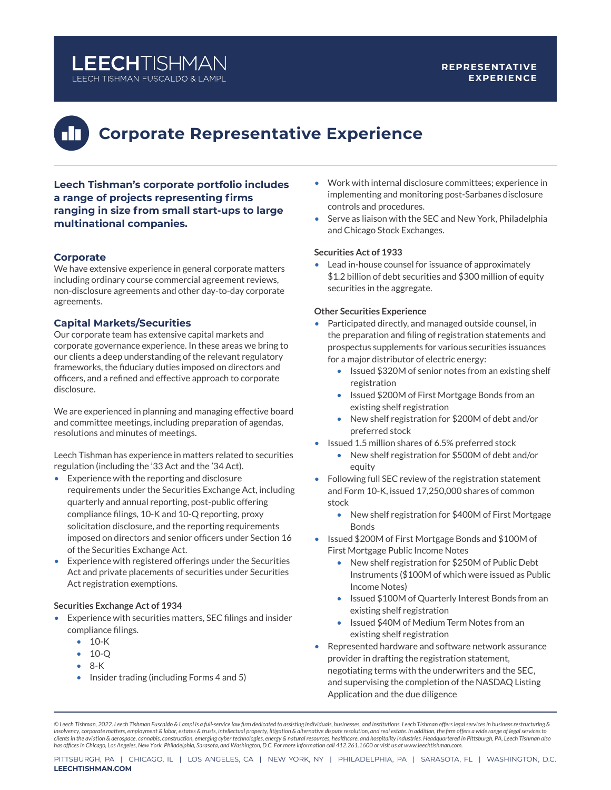## **LEECHTISHMAN** LEECH TISHMAN FUSCALDO & LAMPL

#### **REPRESENTATIVE EXPERIENCE**

# **Corporate Representative Experience**

**Leech Tishman's corporate portfolio includes a range of projects representing firms ranging in size from small start-ups to large multinational companies.** 

### **Corporate**

We have extensive experience in general corporate matters including ordinary course commercial agreement reviews, non-disclosure agreements and other day-to-day corporate agreements.

#### **Capital Markets/Securities**

Our corporate team has extensive capital markets and corporate governance experience. In these areas we bring to our clients a deep understanding of the relevant regulatory frameworks, the fiduciary duties imposed on directors and officers, and a refined and effective approach to corporate disclosure.

We are experienced in planning and managing effective board and committee meetings, including preparation of agendas, resolutions and minutes of meetings.

Leech Tishman has experience in matters related to securities regulation (including the '33 Act and the '34 Act).

- Experience with the reporting and disclosure requirements under the Securities Exchange Act, including quarterly and annual reporting, post-public offering compliance filings, 10-K and 10-Q reporting, proxy solicitation disclosure, and the reporting requirements imposed on directors and senior officers under Section 16 of the Securities Exchange Act.
- Experience with registered offerings under the Securities Act and private placements of securities under Securities Act registration exemptions.

#### **Securities Exchange Act of 1934**

- Experience with securities matters, SEC filings and insider compliance filings.
	- 10-K
	- 10-Q
	- 8-K
	- Insider trading (including Forms 4 and 5)
- Work with internal disclosure committees; experience in implementing and monitoring post-Sarbanes disclosure controls and procedures.
- Serve as liaison with the SEC and New York, Philadelphia and Chicago Stock Exchanges.

#### **Securities Act of 1933**

• Lead in-house counsel for issuance of approximately \$1.2 billion of debt securities and \$300 million of equity securities in the aggregate.

#### **Other Securities Experience**

- Participated directly, and managed outside counsel, in the preparation and filing of registration statements and prospectus supplements for various securities issuances for a major distributor of electric energy:
	- Issued \$320M of senior notes from an existing shelf registration
	- Issued \$200M of First Mortgage Bonds from an existing shelf registration
	- New shelf registration for \$200M of debt and/or preferred stock
- Issued 1.5 million shares of 6.5% preferred stock
	- New shelf registration for \$500M of debt and/or equity
- Following full SEC review of the registration statement and Form 10-K, issued 17,250,000 shares of common stock
	- New shelf registration for \$400M of First Mortgage Bonds
- Issued \$200M of First Mortgage Bonds and \$100M of First Mortgage Public Income Notes
	- New shelf registration for \$250M of Public Debt Instruments (\$100M of which were issued as Public Income Notes)
	- Issued \$100M of Quarterly Interest Bonds from an existing shelf registration
	- Issued \$40M of Medium Term Notes from an existing shelf registration
- Represented hardware and software network assurance provider in drafting the registration statement, negotiating terms with the underwriters and the SEC, and supervising the completion of the NASDAQ Listing Application and the due diligence

*© Leech Tishman, 2022. Leech Tishman Fuscaldo & Lampl is a full-service law firm dedicated to assisting individuals, businesses, and institutions. Leech Tishman offers legal services in business restructuring & insolvency, corporate matters, employment & labor, estates & trusts, intellectual property, litigation & alternative dispute resolution, and real estate. In addition, the firm offers a wide range of legal services to*  clients in the aviation & aerospace, cannabis, construction, emerging cyber technologies, energy & natural resources, healthcare, and hospitality industries. Headquartered in Pittsburgh, PA, Leech Tishman also<br>has offices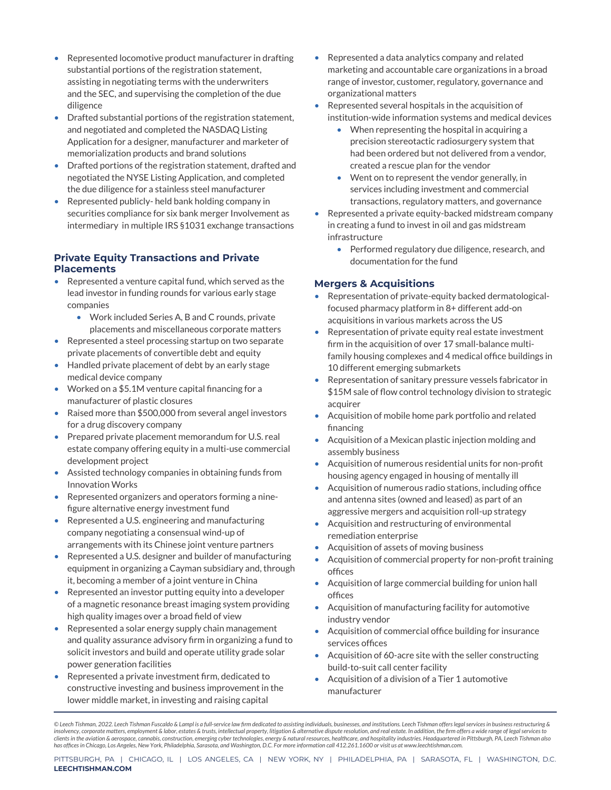- Represented locomotive product manufacturer in drafting substantial portions of the registration statement, assisting in negotiating terms with the underwriters and the SEC, and supervising the completion of the due diligence
- Drafted substantial portions of the registration statement, and negotiated and completed the NASDAQ Listing Application for a designer, manufacturer and marketer of memorialization products and brand solutions
- Drafted portions of the registration statement, drafted and negotiated the NYSE Listing Application, and completed the due diligence for a stainless steel manufacturer
- Represented publicly- held bank holding company in securities compliance for six bank merger Involvement as intermediary in multiple IRS §1031 exchange transactions

#### **Private Equity Transactions and Private Placements**

- Represented a venture capital fund, which served as the lead investor in funding rounds for various early stage companies
	- Work included Series A, B and C rounds, private placements and miscellaneous corporate matters
- Represented a steel processing startup on two separate private placements of convertible debt and equity
- Handled private placement of debt by an early stage medical device company
- Worked on a \$5.1M venture capital financing for a manufacturer of plastic closures
- Raised more than \$500,000 from several angel investors for a drug discovery company
- Prepared private placement memorandum for U.S. real estate company offering equity in a multi-use commercial development project
- Assisted technology companies in obtaining funds from Innovation Works
- Represented organizers and operators forming a ninefigure alternative energy investment fund
- Represented a U.S. engineering and manufacturing company negotiating a consensual wind-up of arrangements with its Chinese joint venture partners
- Represented a U.S. designer and builder of manufacturing equipment in organizing a Cayman subsidiary and, through it, becoming a member of a joint venture in China
- Represented an investor putting equity into a developer of a magnetic resonance breast imaging system providing high quality images over a broad field of view
- Represented a solar energy supply chain management and quality assurance advisory firm in organizing a fund to solicit investors and build and operate utility grade solar power generation facilities
- Represented a private investment firm, dedicated to constructive investing and business improvement in the lower middle market, in investing and raising capital
- Represented a data analytics company and related marketing and accountable care organizations in a broad range of investor, customer, regulatory, governance and organizational matters
- Represented several hospitals in the acquisition of institution-wide information systems and medical devices
	- When representing the hospital in acquiring a precision stereotactic radiosurgery system that had been ordered but not delivered from a vendor, created a rescue plan for the vendor
	- Went on to represent the vendor generally, in services including investment and commercial transactions, regulatory matters, and governance
- Represented a private equity-backed midstream company in creating a fund to invest in oil and gas midstream infrastructure
	- Performed regulatory due diligence, research, and documentation for the fund

#### **Mergers & Acquisitions**

- Representation of private-equity backed dermatologicalfocused pharmacy platform in 8+ different add-on acquisitions in various markets across the US
- Representation of private equity real estate investment firm in the acquisition of over 17 small-balance multifamily housing complexes and 4 medical office buildings in 10 different emerging submarkets
- Representation of sanitary pressure vessels fabricator in \$15M sale of flow control technology division to strategic acquirer
- Acquisition of mobile home park portfolio and related financing
- Acquisition of a Mexican plastic injection molding and assembly business
- Acquisition of numerous residential units for non-profit housing agency engaged in housing of mentally ill
- Acquisition of numerous radio stations, including office and antenna sites (owned and leased) as part of an aggressive mergers and acquisition roll-up strategy
- Acquisition and restructuring of environmental remediation enterprise
- Acquisition of assets of moving business
- Acquisition of commercial property for non-profit training offices
- Acquisition of large commercial building for union hall offices
- Acquisition of manufacturing facility for automotive industry vendor
- Acquisition of commercial office building for insurance services offices
- Acquisition of 60-acre site with the seller constructing build-to-suit call center facility
- Acquisition of a division of a Tier 1 automotive manufacturer

*<sup>©</sup> Leech Tishman, 2022. Leech Tishman Fuscaldo & Lampl is a full-service law firm dedicated to assisting individuals, businesses, and institutions. Leech Tishman offers legal services in business restructuring & insolvency, corporate matters, employment & labor, estates & trusts, intellectual property, litigation & alternative dispute resolution, and real estate. In addition, the firm offers a wide range of legal services to*  clients in the aviation & aerospace, cannabis, construction, emerging cyber technologies, energy & natural resources, healthcare, and hospitality industries. Headquartered in Pittsburgh, PA, Leech Tishman also<br>has offices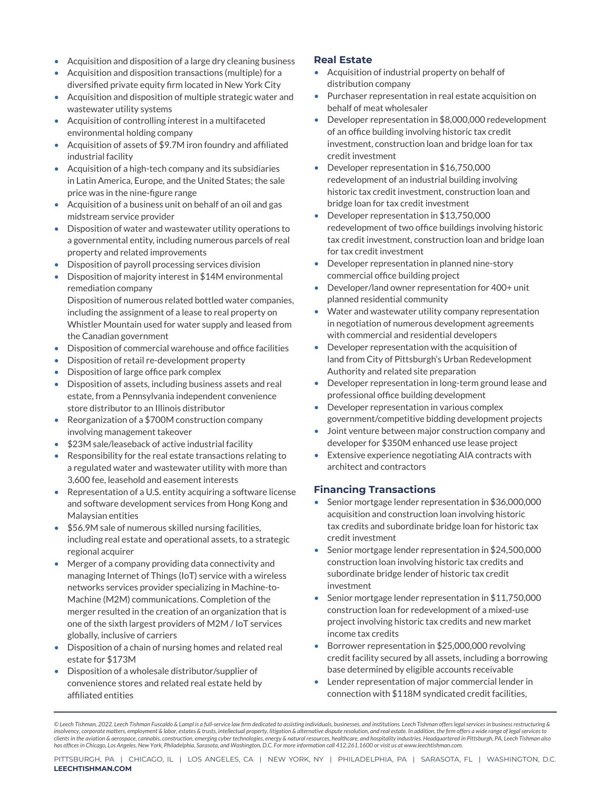- Acquisition and disposition of a large dry cleaning business **Real Estate**
- Acquisition and disposition transactions (multiple) for a diversified private equity firm located in New York City
- Acquisition and disposition of multiple strategic water and wastewater utility systems
- Acquisition of controlling interest in a multifaceted environmental holding company
- Acquisition of assets of \$9.7M iron foundry and affiliated industrial facility
- Acquisition of a high-tech company and its subsidiaries in Latin America, Europe, and the United States; the sale price was in the nine-figure range
- Acquisition of a business unit on behalf of an oil and gas midstream service provider
- Disposition of water and wastewater utility operations to a governmental entity, including numerous parcels of real property and related improvements
- Disposition of payroll processing services division
- Disposition of majority interest in \$14M environmental remediation company Disposition of numerous related bottled water companies, including the assignment of a lease to real property on Whistler Mountain used for water supply and leased from
- the Canadian government • Disposition of commercial warehouse and office facilities
- 
- Disposition of retail re-development property • Disposition of large office park complex
- Disposition of assets, including business assets and real estate, from a Pennsylvania independent convenience store distributor to an Illinois distributor
- Reorganization of a \$700M construction company involving management takeover
- \$23M sale/leaseback of active industrial facility
- Responsibility for the real estate transactions relating to a regulated water and wastewater utility with more than 3,600 fee, leasehold and easement interests
- Representation of a U.S. entity acquiring a software license and software development services from Hong Kong and Malaysian entities
- \$56.9M sale of numerous skilled nursing facilities, including real estate and operational assets, to a strategic regional acquirer
- Merger of a company providing data connectivity and managing Internet of Things (IoT) service with a wireless networks services provider specializing in Machine-to-Machine (M2M) communications. Completion of the merger resulted in the creation of an organization that is one of the sixth largest providers of M2M / IoT services globally, inclusive of carriers
- Disposition of a chain of nursing homes and related real estate for \$173M
- Disposition of a wholesale distributor/supplier of convenience stores and related real estate held by affiliated entities

- Acquisition of industrial property on behalf of distribution company
- Purchaser representation in real estate acquisition on behalf of meat wholesaler
- Developer representation in \$8,000,000 redevelopment of an office building involving historic tax credit investment, construction loan and bridge loan for tax credit investment
- Developer representation in \$16,750,000 redevelopment of an industrial building involving historic tax credit investment, construction loan and bridge loan for tax credit investment
- Developer representation in \$13,750,000 redevelopment of two office buildings involving historic tax credit investment, construction loan and bridge loan for tax credit investment
- Developer representation in planned nine-story commercial office building project
- Developer/land owner representation for 400+ unit planned residential community
- Water and wastewater utility company representation in negotiation of numerous development agreements with commercial and residential developers
- Developer representation with the acquisition of land from City of Pittsburgh's Urban Redevelopment Authority and related site preparation
- Developer representation in long-term ground lease and professional office building development
- Developer representation in various complex government/competitive bidding development projects
- Joint venture between major construction company and developer for \$350M enhanced use lease project
- Extensive experience negotiating AIA contracts with architect and contractors

#### **Financing Transactions**

- Senior mortgage lender representation in \$36,000,000 acquisition and construction loan involving historic tax credits and subordinate bridge loan for historic tax credit investment
- Senior mortgage lender representation in \$24,500,000 construction loan involving historic tax credits and subordinate bridge lender of historic tax credit investment
- Senior mortgage lender representation in \$11,750,000 construction loan for redevelopment of a mixed-use project involving historic tax credits and new market income tax credits
- Borrower representation in \$25,000,000 revolving credit facility secured by all assets, including a borrowing base determined by eligible accounts receivable
- Lender representation of major commercial lender in connection with \$118M syndicated credit facilities,

*<sup>©</sup> Leech Tishman, 2022. Leech Tishman Fuscaldo & Lampl is a full-service law firm dedicated to assisting individuals, businesses, and institutions. Leech Tishman offers legal services in business restructuring & insolvency, corporate matters, employment & labor, estates & trusts, intellectual property, litigation & alternative dispute resolution, and real estate. In addition, the firm offers a wide range of legal services to*  clients in the aviation & aerospace, cannabis, construction, emerging cyber technologies, energy & natural resources, healthcare, and hospitality industries. Headquartered in Pittsburgh, PA, Leech Tishman also<br>has offices